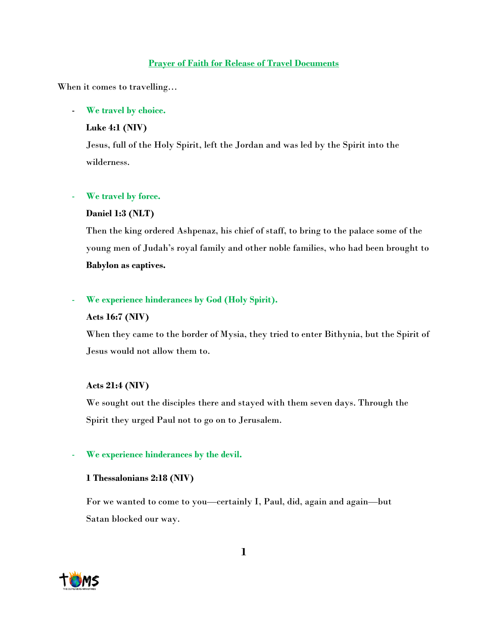## **Prayer of Faith for Release of Travel Documents**

When it comes to travelling…

## - **We travel by choice.**

## **Luke 4:1 (NIV)**

Jesus, full of the Holy Spirit, left the Jordan and was led by the Spirit into the wilderness.

## We travel by force.

## **Daniel 1:3 (NLT)**

Then the king ordered Ashpenaz, his chief of staff, to bring to the palace some of the young men of Judah's royal family and other noble families, who had been brought to **Babylon as captives.**

# We experience hinderances by God (Holy Spirit).

### **Acts 16:7 (NIV)**

When they came to the border of Mysia, they tried to enter Bithynia, but the Spirit of Jesus would not allow them to.

# **Acts 21:4 (NIV)**

We sought out the disciples there and stayed with them seven days. Through the Spirit they urged Paul not to go on to Jerusalem.

### We experience hinderances by the devil.

### **1 Thessalonians 2:18 (NIV)**

For we wanted to come to you—certainly I, Paul, did, again and again—but Satan blocked our way.

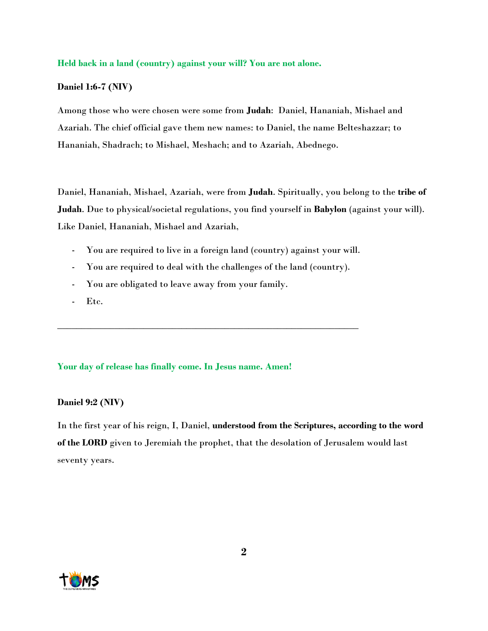### **Held back in a land (country) against your will? You are not alone.**

### **Daniel 1:6-7 (NIV)**

Among those who were chosen were some from **Judah**: Daniel, Hananiah, Mishael and Azariah. The chief official gave them new names: to Daniel, the name Belteshazzar; to Hananiah, Shadrach; to Mishael, Meshach; and to Azariah, Abednego.

Daniel, Hananiah, Mishael, Azariah, were from **Judah**. Spiritually, you belong to the **tribe of Judah**. Due to physical/societal regulations, you find yourself in **Babylon** (against your will). Like Daniel, Hananiah, Mishael and Azariah,

- You are required to live in a foreign land (country) against your will.
- You are required to deal with the challenges of the land (country).

\_\_\_\_\_\_\_\_\_\_\_\_\_\_\_\_\_\_\_\_\_\_\_\_\_\_\_\_\_\_\_\_\_\_\_\_\_\_\_\_\_\_\_\_\_\_\_\_\_\_\_\_\_\_\_\_\_\_\_\_\_\_\_

- You are obligated to leave away from your family.
- Etc.

### **Your day of release has finally come. In Jesus name. Amen!**

### **Daniel 9:2 (NIV)**

In the first year of his reign, I, Daniel, **understood from the Scriptures, according to the word of the LORD** given to Jeremiah the prophet, that the desolation of Jerusalem would last seventy years.

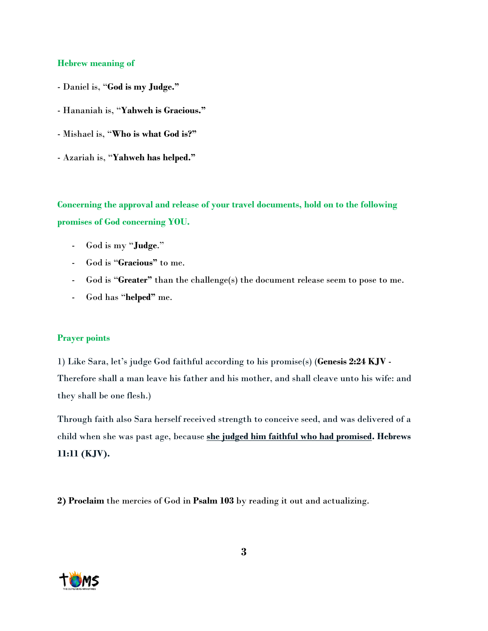## **Hebrew meaning of**

- Daniel is, "**God is my Judge."**
- Hananiah is, "**Yahweh is Gracious."**
- Mishael is, "**Who is what God is?"**
- Azariah is, "**Yahweh has helped."**

**Concerning the approval and release of your travel documents, hold on to the following promises of God concerning YOU.**

- God is my "**Judge**."
- God is "**Gracious"** to me.
- God is "**Greater"** than the challenge(s) the document release seem to pose to me.
- God has "**helped"** me.

### **Prayer points**

1) Like Sara, let's judge God faithful according to his promise(s) (**Genesis 2:24 KJV** - Therefore shall a man leave his father and his mother, and shall cleave unto his wife: and they shall be one flesh.)

Through faith also Sara herself received strength to conceive seed, and was delivered of a child when she was past age, because **she judged him faithful who had promised. Hebrews 11:11 (KJV).**

**2) Proclaim** the mercies of God in **Psalm 103** by reading it out and actualizing.

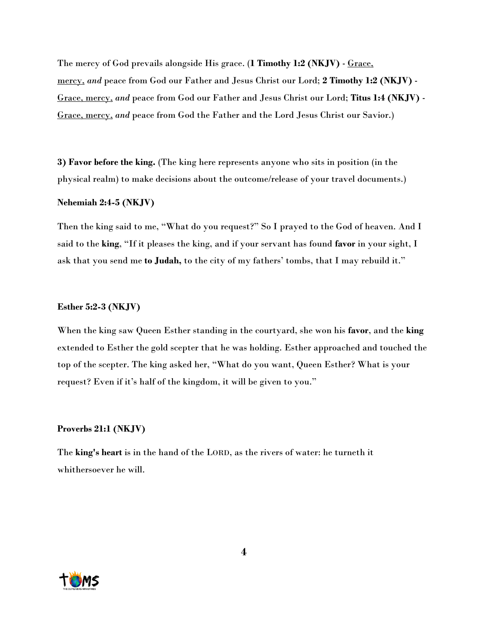The mercy of God prevails alongside His grace. (**1 Timothy 1:2 (NKJV)** - Grace, mercy, *and* peace from God our Father and Jesus Christ our Lord; **2 Timothy 1:2 (NKJV)** - Grace, mercy, *and* peace from God our Father and Jesus Christ our Lord; **Titus 1:4 (NKJV)** - Grace, mercy, *and* peace from God the Father and the Lord Jesus Christ our Savior.)

**3) Favor before the king.** (The king here represents anyone who sits in position (in the physical realm) to make decisions about the outcome/release of your travel documents.)

### **Nehemiah 2:4-5 (NKJV)**

Then the king said to me, "What do you request?" So I prayed to the God of heaven. And I said to the **king**, "If it pleases the king, and if your servant has found **favor** in your sight, I ask that you send me **to Judah,** to the city of my fathers' tombs, that I may rebuild it."

#### **Esther 5:2-3 (NKJV)**

When the king saw Queen Esther standing in the courtyard, she won his **favor**, and the **king** extended to Esther the gold scepter that he was holding. Esther approached and touched the top of the scepter. The king asked her, "What do you want, Queen Esther? What is your request? Even if it's half of the kingdom, it will be given to you."

### **Proverbs 21:1 (NKJV)**

The **king's heart** is in the hand of the LORD, as the rivers of water: he turneth it whithersoever he will.